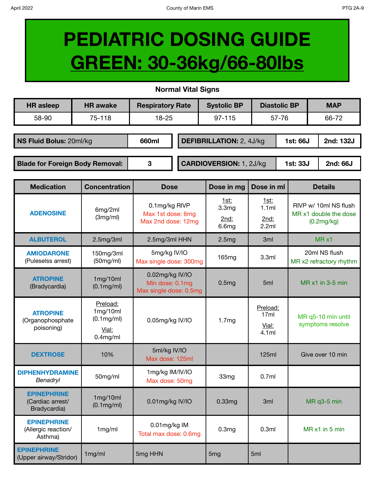## **PEDIATRIC DOSING GUIDE GREEN: 30-36kg/66-80lbs**

## **Normal Vital Signs**

| <b>HR</b> asleep                       | <b>HR</b> awake | <b>Respiratory Rate</b> |  | <b>Systolic BP</b>              |       | <b>Diastolic BP</b> | <b>MAP</b>            |
|----------------------------------------|-----------------|-------------------------|--|---------------------------------|-------|---------------------|-----------------------|
| 58-90                                  | 75-118          | $18 - 25$               |  | $97 - 115$                      | 57-76 |                     | 66-72                 |
|                                        |                 |                         |  |                                 |       |                     |                       |
| NS Fluid Bolus: 20ml/kg                |                 | 660ml                   |  | <b>DEFIBRILLATION: 2, 4J/kg</b> |       |                     | 2nd: 132J<br>1st: 66J |
|                                        |                 |                         |  |                                 |       |                     |                       |
| <b>Blade for Foreign Body Removal:</b> |                 | 3                       |  | <b>CARDIOVERSION: 1, 2J/kg</b>  |       | 1st: 33J            | <b>2nd: 66J</b>       |

| <b>Medication</b>                                      | <b>Concentration</b>                                       | <b>Dose</b>                                                  | Dose in mg                                 | Dose in ml                         | <b>Details</b>                                               |
|--------------------------------------------------------|------------------------------------------------------------|--------------------------------------------------------------|--------------------------------------------|------------------------------------|--------------------------------------------------------------|
| <b>ADENOSINE</b>                                       | 6mg/2ml<br>(3mg/ml)                                        | 0.1mg/kg RIVP<br>Max 1st dose: 6mg<br>Max 2nd dose: 12mg     | 1st:<br>3.3 <sub>mg</sub><br>2nd:<br>6.6mg | 1st:<br>1.1ml<br>2nd:<br>2.2ml     | RIVP w/ 10ml NS flush<br>MR x1 double the dose<br>(0.2mg/kg) |
| <b>ALBUTEROL</b>                                       | 2.5mg/3ml                                                  | 2.5mg/3ml HHN                                                | 2.5mg                                      | 3ml                                | $MR \times 1$                                                |
| <b>AMIODARONE</b><br>(Puleselss arrest)                | 150mg/3ml<br>(50mg/ml)                                     | 5mg/kg IV/IO<br>Max single dose: 300mg                       | 165mg                                      | 3.3ml                              | 20ml NS flush<br>MR x2 refractory rhythm                     |
| <b>ATROPINE</b><br>(Bradycardia)                       | 1mg/10ml<br>$(0.1 \text{mg/ml})$                           | 0.02mg/kg IV/IO<br>Min dose: 0.1mg<br>Max single dose: 0.5mg | 0.5mg                                      | 5 <sub>ml</sub>                    | $MR \times 1$ in 3-5 min                                     |
| <b>ATROPINE</b><br>(Organophosphate<br>poisoning)      | Preload:<br>1mg/10ml<br>(0.1mg/ml)<br>Vial:<br>$0.4$ mg/ml | 0.05mg/kg IV/IO                                              | 1.7mg                                      | Preload:<br>17ml<br>Vial:<br>4.1ml | MR q5-10 min until<br>symptoms resolve                       |
| <b>DEXTROSE</b>                                        | 10%                                                        | 5ml/kg IV/IO<br>Max dose: 125ml                              |                                            | 125ml                              | Give over 10 min                                             |
| <b>DIPHENHYDRAMINE</b><br><b>Benadryl</b>              | 50mg/ml                                                    | 1mg/kg IM/IV/IO<br>Max dose: 50mg                            | 33mg                                       | 0.7ml                              |                                                              |
| <b>EPINEPHRINE</b><br>(Cardiac arrest/<br>Bradycardia) | 1mg/10ml<br>$(0.1 \text{mg/ml})$                           | 0.01mg/kg IV/IO                                              | 0.33 <sub>mg</sub>                         | 3 <sub>ml</sub>                    | MR q3-5 min                                                  |
| <b>EPINEPHRINE</b><br>(Allergic reaction/<br>Asthma)   | 1mg/ml                                                     | 0.01mg/kg IM<br>Total max dose: 0.6mg                        | 0.3 <sub>mg</sub>                          | 0.3ml                              | MR x1 in 5 min                                               |
| <b>EPINEPHRINE</b><br>(Upper airway/Stridor)           | 1mg/ml                                                     | 5mg HHN                                                      | 5 <sub>mg</sub>                            | 5ml                                |                                                              |